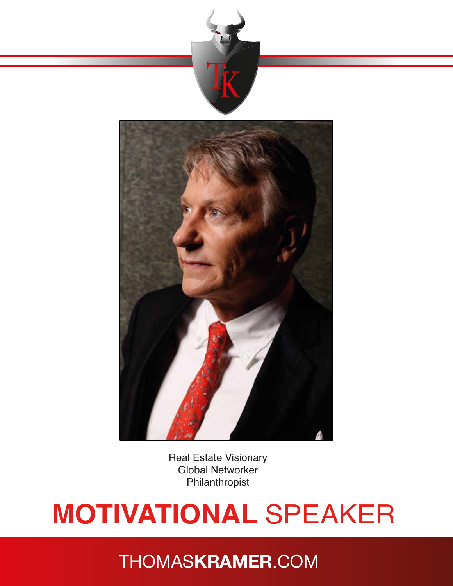



Real Estate Visionary Global Networker Philanthropist

# **MOTIVATIONAL** SPEAKER

### THOMAS**KRAMER**.COM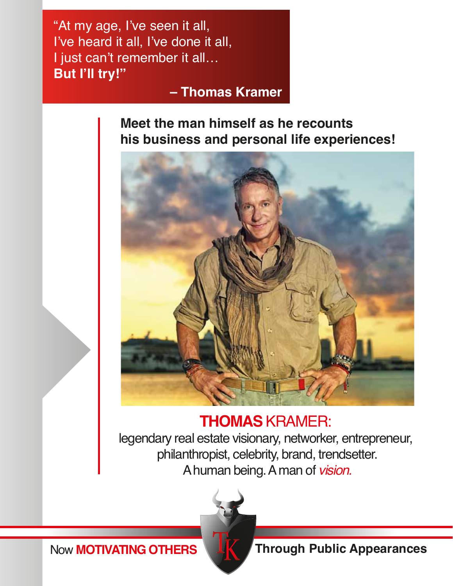"At my age, I've seen it all, I've heard it all, I've done it all, I just can't remember it all… **But I'll try!"** 

 **– Thomas Kramer**

**Meet the man himself as he recounts his business and personal life experiences!**



### **THOMAS** KRAMER:

legendary real estate visionary, networker, entrepreneur, philanthropist, celebrity, brand, trendsetter. A human being. A man of *vision.*



Now **MOTIVATING OTHERS THERS** Through Public Appearances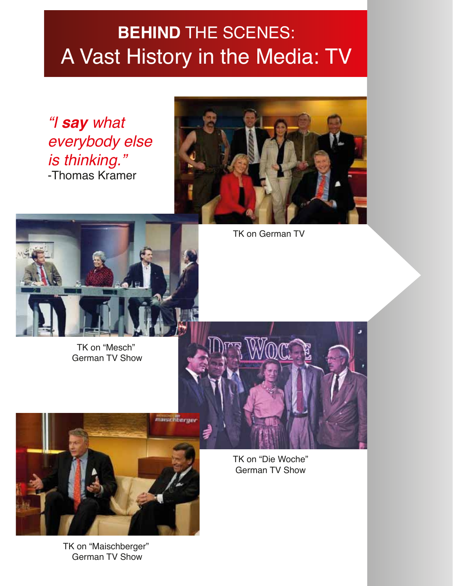### **BEHIND** THE SCENES: A Vast History in the Media: TV

*"I say what everybody else is thinking."*  -Thomas Kramer





TK on "Mesch" German TV Show TK on German TV



TK on "Maischberger" German TV Show

TK on "Die Woche" German TV Show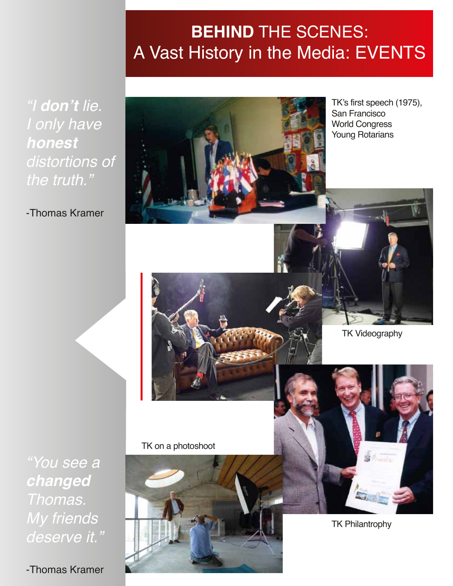### **BEHIND** THE SCENES: A Vast History in the Media: EVENTS

*"I* **don't** *lie. I only have*  **honest**  *distortions of the truth."* 

-Thomas Kramer



TK's first speech (1975), San Francisco World Congress Young Rotarians

TK Videography

*"You see a*  **changed**  *Thomas. My friends deserve it."* 

-Thomas Kramer

TK on a photoshoot



TK Philantrophy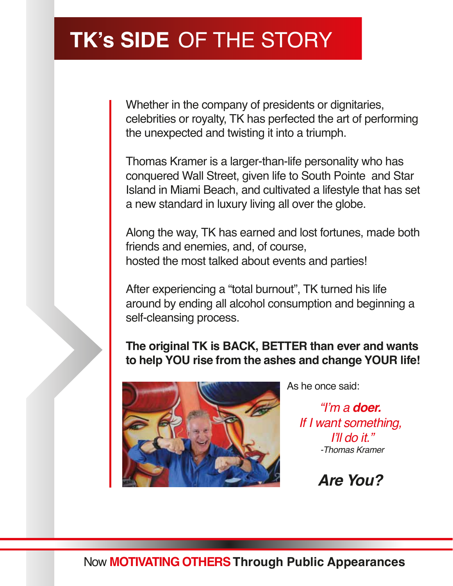### **TK's SIDE** OF THE STORY

Whether in the company of presidents or dignitaries, celebrities or royalty, TK has perfected the art of performing the unexpected and twisting it into a triumph.

Thomas Kramer is a larger-than-life personality who has conquered Wall Street, given life to South Pointe and Star Island in Miami Beach, and cultivated a lifestyle that has set a new standard in luxury living all over the globe.

Along the way, TK has earned and lost fortunes, made both friends and enemies, and, of course, hosted the most talked about events and parties!

After experiencing a "total burnout", TK turned his life around by ending all alcohol consumption and beginning a self-cleansing process.

#### **The original TK is BACK, BETTER than ever and wants to help YOU rise from the ashes and change YOUR life!**



As he once said:

"I'm a **doer.**  *If I want something,*  I'll do it." *-Thomas Kramer*

#### **Are You?**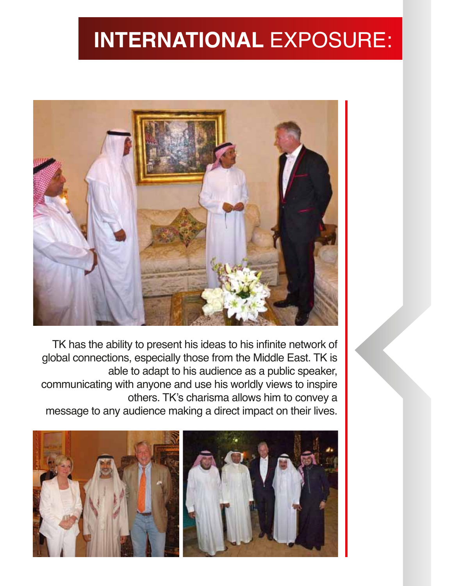## **INTERNATIONAL** EXPOSURE:



TK has the ability to present his ideas to his infinite network of global connections, especially those from the Middle East. TK is able to adapt to his audience as a public speaker, communicating with anyone and use his worldly views to inspire others. TK's charisma allows him to convey a message to any audience making a direct impact on their lives.

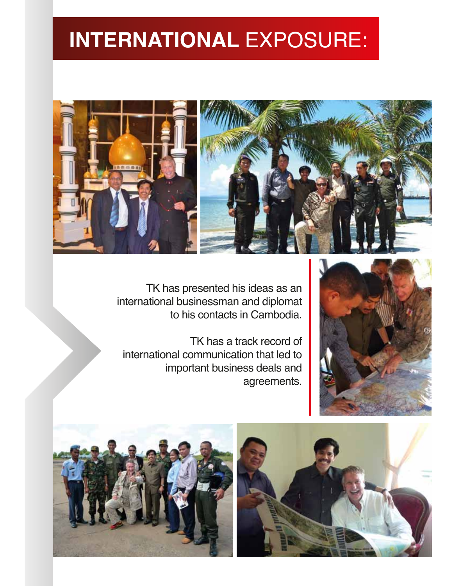### **INTERNATIONAL** EXPOSURE:



TK has presented his ideas as an international businessman and diplomat to his contacts in Cambodia.

TK has a track record of international communication that led to important business deals and agreements.





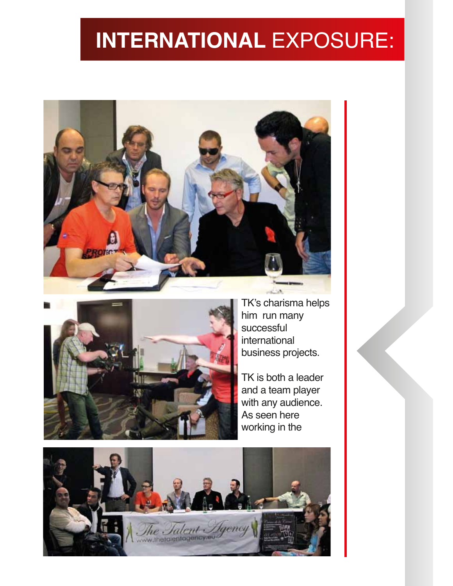### **INTERNATIONAL** EXPOSURE:





TK's charisma helps him run many successful international business projects.

TK is both a leader and a team player with any audience. As seen here working in the

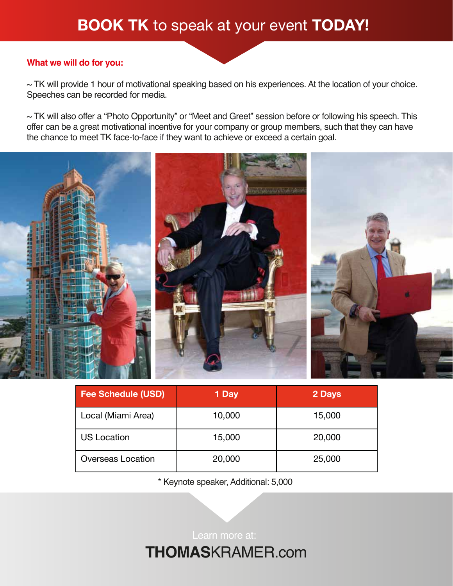#### **BOOK TK** to speak at your event **TODAY!**

#### **What we will do for you:**

 $\sim$  TK will provide 1 hour of motivational speaking based on his experiences. At the location of your choice. Speeches can be recorded for media.

~ TK will also offer a "Photo Opportunity" or "Meet and Greet" session before or following his speech. This offer can be a great motivational incentive for your company or group members, such that they can have the chance to meet TK face-to-face if they want to achieve or exceed a certain goal.



| <b>Fee Schedule (USD)</b> | 1 Day  | 2 Days |
|---------------------------|--------|--------|
| Local (Miami Area)        | 10,000 | 15,000 |
| <b>US Location</b>        | 15,000 | 20,000 |
| <b>Overseas Location</b>  | 20,000 | 25,000 |

\* Keynote speaker, Additional: 5,000

**THOMAS**KRAMER.com